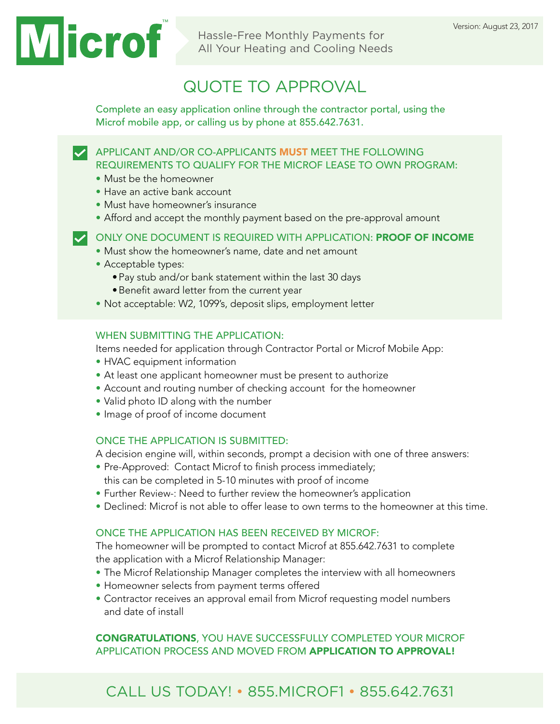Hassle-Free Monthly Payments for All Your Heating and Cooling Needs

# QUOTE TO APPROVAL

Complete an easy application online through the contractor portal, using the Microf mobile app, or calling us by phone at 855.642.7631.

APPLICANT AND/OR CO-APPLICANTS **MUST** MEET THE FOLLOWING REQUIREMENTS TO QUALIFY FOR THE MICROF LEASE TO OWN PROGRAM:

- Must be the homeowner
- Have an active bank account
- Must have homeowner's insurance
- Afford and accept the monthly payment based on the pre-approval amount

#### ONLY ONE DOCUMENT IS REQUIRED WITH APPLICATION: PROOF OF INCOME

- Must show the homeowner's name, date and net amount
- Acceptable types:
	- •Pay stub and/or bank statement within the last 30 days
	- •Benefit award letter from the current year
- Not acceptable: W2, 1099's, deposit slips, employment letter

#### WHEN SUBMITTING THE APPLICATION:

Items needed for application through Contractor Portal or Microf Mobile App:

- HVAC equipment information
- At least one applicant homeowner must be present to authorize
- Account and routing number of checking account for the homeowner
- Valid photo ID along with the number
- Image of proof of income document

#### ONCE THE APPLICATION IS SUBMITTED:

A decision engine will, within seconds, prompt a decision with one of three answers:

- Pre-Approved: Contact Microf to finish process immediately; this can be completed in 5-10 minutes with proof of income
- Further Review-: Need to further review the homeowner's application
- Declined: Microf is not able to offer lease to own terms to the homeowner at this time.

#### ONCE THE APPLICATION HAS BEEN RECEIVED BY MICROF:

The homeowner will be prompted to contact Microf at 855.642.7631 to complete the application with a Microf Relationship Manager:

- The Microf Relationship Manager completes the interview with all homeowners
- Homeowner selects from payment terms offered
- Contractor receives an approval email from Microf requesting model numbers and date of install

#### CONGRATULATIONS, YOU HAVE SUCCESSFULLY COMPLETED YOUR MICROF APPLICATION PROCESS AND MOVED FROM APPLICATION TO APPROVAL!

### CALL US TODAY! • 855.MICROF1 • 855.642.7631